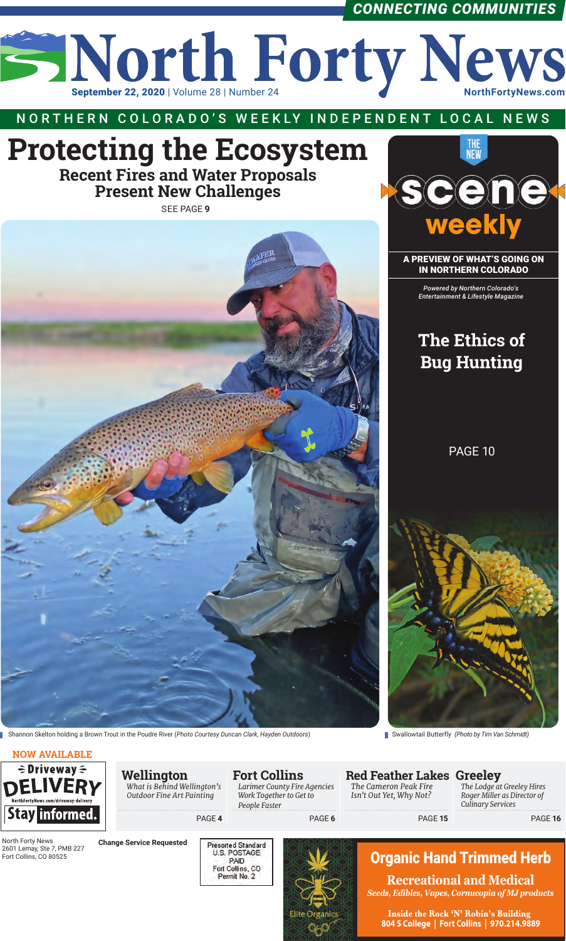

### *CONNECTING COMMUNITIES*

#### **NOW AVAILABLE**

### N O RT H E R N C O LO R A D O'S W E E K LY I N D E P E N D E NT LO C A L N E W S

| $\div$ Driveway $\div$<br><b>DELIVERY</b><br>NorthFortyNews.com/driveway-delivery<br>Stay informed.<br>North Forty News<br>2601 Lemay, Ste 7, PMB 227<br>Fort Collins, CO 80525 |                                 | Wellington<br>What is Behind Wellington's<br>Outdoor Fine Art Painting |        | <b>Fort Collins</b><br><b>Larimer County Fire Agencies</b><br>Work Together to Get to<br>People Faster |               | <b>Red Feather Lakes Greeley</b><br>The Cameron Peak Fire<br>Isn't Out Yet, Why Not? | The Lodge at Greeley Hires<br>Roger Miller as Director of<br><b>Culinary Services</b>                                                                                                                          |
|---------------------------------------------------------------------------------------------------------------------------------------------------------------------------------|---------------------------------|------------------------------------------------------------------------|--------|--------------------------------------------------------------------------------------------------------|---------------|--------------------------------------------------------------------------------------|----------------------------------------------------------------------------------------------------------------------------------------------------------------------------------------------------------------|
|                                                                                                                                                                                 |                                 |                                                                        | PAGE 4 |                                                                                                        | PAGE 6        | PAGE 15                                                                              | PAGE 16                                                                                                                                                                                                        |
|                                                                                                                                                                                 | <b>Change Service Requested</b> |                                                                        |        | <b>Presorted Standard</b><br>U.S. POSTAGE<br><b>PAID</b><br>Fort Collins, CO<br>Permit No. 2           | lite Organics |                                                                                      | <b>Organic Hand Trimmed Herb</b><br><b>Recreational and Medical</b><br>Seeds, Edibles, Vapes, Cornucopia of MJ products<br>Inside the Rock 'N' Robin's Building<br>804 S College   Fort Collins   970.214.9889 |

MY Y M

A PREVIEW OF WHAT'S GOING ON IN NORTHERN COLORADO

> *Powered by Northern Colorado's Entertainment & Lifestyle Magazine*

### **The Ethics of Bug Hunting**

# **Protecting the Ecosystem**

**Recent Fires and Water Proposals Present New Challenges**

PAGE 10



SEE PAGE **9**